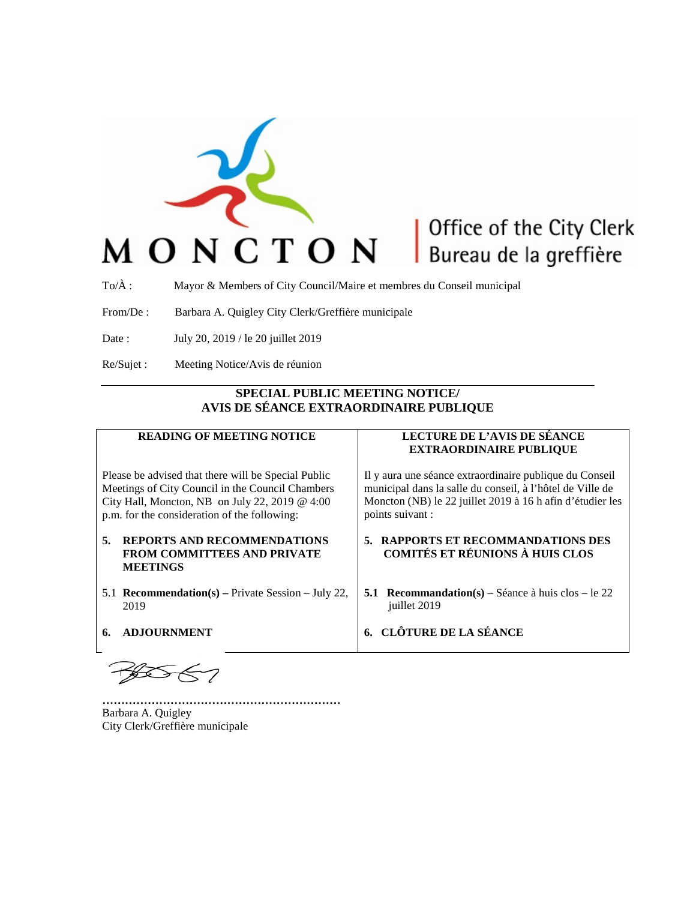

## Office of the City Clerk Bureau de la greffière

To/À : Mayor & Members of City Council/Maire et membres du Conseil municipal

From/De : Barbara A. Quigley City Clerk/Greffière municipale

Date : July 20, 2019 / le 20 juillet 2019

Re/Sujet : Meeting Notice/Avis de réunion

## **SPECIAL PUBLIC MEETING NOTICE/ AVIS DE SÉANCE EXTRAORDINAIRE PUBLIQUE**

| <b>READING OF MEETING NOTICE</b>                                                                                                                                                                          | LECTURE DE L'AVIS DE SÉANCE<br><b>EXTRAORDINAIRE PUBLIQUE</b>                                                                                                                                         |
|-----------------------------------------------------------------------------------------------------------------------------------------------------------------------------------------------------------|-------------------------------------------------------------------------------------------------------------------------------------------------------------------------------------------------------|
| Please be advised that there will be Special Public<br>Meetings of City Council in the Council Chambers<br>City Hall, Moncton, NB on July 22, 2019 @ 4:00<br>p.m. for the consideration of the following: | Il y aura une séance extraordinaire publique du Conseil<br>municipal dans la salle du conseil, à l'hôtel de Ville de<br>Moncton (NB) le 22 juillet 2019 à 16 h afin d'étudier les<br>points suivant : |
| 5.<br><b>REPORTS AND RECOMMENDATIONS</b><br><b>FROM COMMITTEES AND PRIVATE</b><br><b>MEETINGS</b>                                                                                                         | 5. RAPPORTS ET RECOMMANDATIONS DES<br>COMITÉS ET RÉUNIONS À HUIS CLOS                                                                                                                                 |
| 5.1 <b>Recommendation(s)</b> – Private Session – July 22,<br>2019                                                                                                                                         | <b>Recommandation(s)</b> – Séance à huis clos – le 22<br>5.1<br>juillet 2019                                                                                                                          |
| <b>ADJOURNMENT</b>                                                                                                                                                                                        | <b>CLÔTURE DE LA SÉANCE</b>                                                                                                                                                                           |

**………………………………………………………** Barbara A. Quigley City Clerk/Greffière municipale